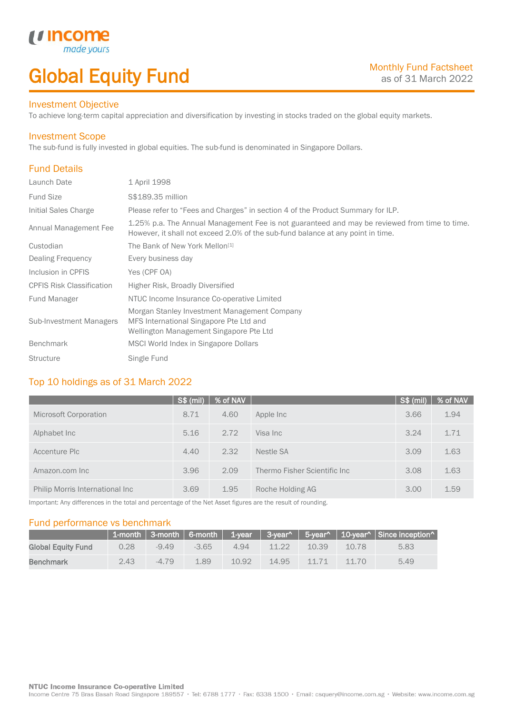# Global Equity Fund

### Investment Objective

made<sub>y</sub>

*u* incom

To achieve long-term capital appreciation and diversification by investing in stocks traded on the global equity markets.

### Investment Scope

The sub-fund is fully invested in global equities. The sub-fund is denominated in Singapore Dollars.

# Fund Details

I

| Launch Date                      | 1 April 1998                                                                                                                                                                     |
|----------------------------------|----------------------------------------------------------------------------------------------------------------------------------------------------------------------------------|
| <b>Fund Size</b>                 | S\$189.35 million                                                                                                                                                                |
| Initial Sales Charge             | Please refer to "Fees and Charges" in section 4 of the Product Summary for ILP.                                                                                                  |
| Annual Management Fee            | 1.25% p.a. The Annual Management Fee is not guaranteed and may be reviewed from time to time.<br>However, it shall not exceed 2.0% of the sub-fund balance at any point in time. |
| Custodian                        | The Bank of New York Mellon <sup>[1]</sup>                                                                                                                                       |
| Dealing Frequency                | Every business day                                                                                                                                                               |
| Inclusion in CPFIS               | Yes (CPF OA)                                                                                                                                                                     |
| <b>CPFIS Risk Classification</b> | Higher Risk, Broadly Diversified                                                                                                                                                 |
| <b>Fund Manager</b>              | NTUC Income Insurance Co-operative Limited                                                                                                                                       |
| Sub-Investment Managers          | Morgan Stanley Investment Management Company<br>MFS International Singapore Pte Ltd and<br>Wellington Management Singapore Pte Ltd                                               |
| <b>Benchmark</b>                 | MSCI World Index in Singapore Dollars                                                                                                                                            |
| <b>Structure</b>                 | Single Fund                                                                                                                                                                      |

# Top 10 holdings as of 31 March 2022

|                                 | $S$ \$ (mil) | % of NAV |                              | <b>S\$ (mil)</b> | % of NAV |
|---------------------------------|--------------|----------|------------------------------|------------------|----------|
| <b>Microsoft Corporation</b>    | 8.71         | 4.60     | Apple Inc                    | 3.66             | 1.94     |
| Alphabet Inc                    | 5.16         | 2.72     | Visa Inc                     | 3.24             | 1.71     |
| Accenture Plc                   | 4.40         | 2.32     | Nestle SA                    | 3.09             | 1.63     |
| Amazon.com Inc                  | 3.96         | 2.09     | Thermo Fisher Scientific Inc | 3.08             | 1.63     |
| Philip Morris International Inc | 3.69         | 1.95     | Roche Holding AG             | 3.00             | 1.59     |

Important: Any differences in the total and percentage of the Net Asset figures are the result of rounding.

### Fund performance vs benchmark

|                    |      |         |         |       |       |       |       | 1-month   3-month   6-month   1-year   3-year^   5-year^   10-year^   Since inception^ |
|--------------------|------|---------|---------|-------|-------|-------|-------|----------------------------------------------------------------------------------------|
| Global Equity Fund | 0.28 | $-9.49$ | $-3.65$ | 494   | 11 22 | 10.39 | 10.78 | 5.83                                                                                   |
| Benchmark          | 2.43 | $-4.79$ | 1.89    | 10.92 | 14.95 | 11.71 | 11.70 | 5.49                                                                                   |